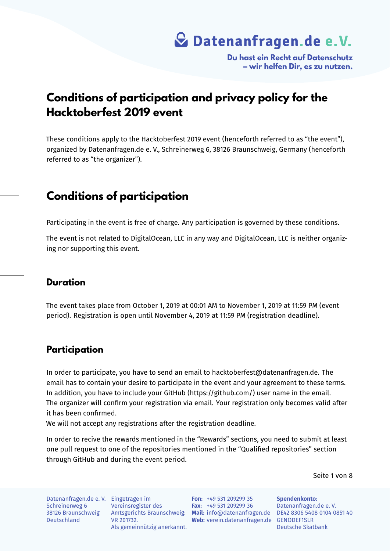**Du hast ein Recht auf Datenschutz – wir helfen Dir, es zu nutzen.**

### **Conditions of participation and privacy policy for the Hacktoberfest 2019 event**

These conditions apply to the Hacktoberfest 2019 event (henceforth referred to as "the event"), organized by Datenanfragen.de e. V., Schreinerweg 6, 38126 Braunschweig, Germany (henceforth referred to as "the organizer").

### **Conditions of participation**

Participating in the event is free of charge. Any participation is governed by these conditions.

The event is not related to DigitalOcean, LLC in any way and DigitalOcean, LLC is neither organizing nor supporting this event.

### **Duration**

The event takes place from October 1, 2019 at 00:01 AM to November 1, 2019 at 11:59 PM (event period). Registration is open until November 4, 2019 at 11:59 PM (registration deadline).

### **Participation**

In order to participate, you have to send an email to hacktoberfest@datenanfragen.de. The email has to contain your desire to participate in the event and your agreement to these terms. In addition, you have to include your GitHub (https://github.com/) user name in the email. The organizer will confirm your registration via email. Your registration only becomes valid after it has been confirmed.

We will not accept any registrations after the registration deadline.

In order to recive the rewards mentioned in the "Rewards" sections, you need to submit at least one pull request to one of the repositories mentioned in the "Qualified repositories" section through GitHub and during the event period.

Seite 1 von 8

Datenanfragen.de e. V. Eingetragen im Schreinerweg 6 38126 Braunschweig Deutschland

Vereinsregister des VR 201732. Als gemeinnützig anerkannt.

Amtsgerichts Braunschweig: **Mail:** info@datenanfragen.de DE42 8306 5408 0104 0851 40 Web: verein.datenanfragen.de GENODEF1SLR **Fon:** +49 531 209299 35 **Fax:** +49 531 209299 36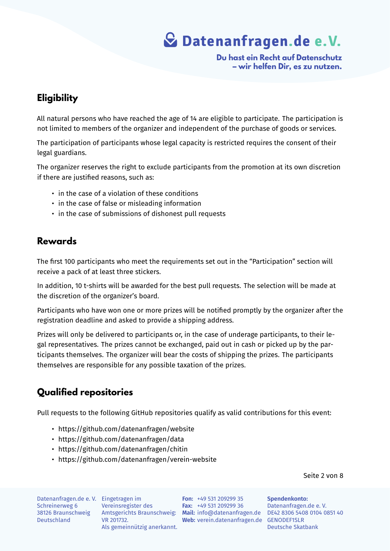**Du hast ein Recht auf Datenschutz – wir helfen Dir, es zu nutzen.**

### **Eligibility**

All natural persons who have reached the age of 14 are eligible to participate. The participation is not limited to members of the organizer and independent of the purchase of goods or services.

The participation of participants whose legal capacity is restricted requires the consent of their legal guardians.

The organizer reserves the right to exclude participants from the promotion at its own discretion if there are justified reasons, such as:

- in the case of a violation of these conditions
- in the case of false or misleading information
- in the case of submissions of dishonest pull requests

### **Rewards**

The first 100 participants who meet the requirements set out in the "Participation" section will receive a pack of at least three stickers.

In addition, 10 t-shirts will be awarded for the best pull requests. The selection will be made at the discretion of the organizer's board.

Participants who have won one or more prizes will be notified promptly by the organizer after the registration deadline and asked to provide a shipping address.

Prizes will only be delivered to participants or, in the case of underage participants, to their legal representatives. The prizes cannot be exchanged, paid out in cash or picked up by the participants themselves. The organizer will bear the costs of shipping the prizes. The participants themselves are responsible for any possible taxation of the prizes.

### **Qualified repositories**

Pull requests to the following GitHub repositories qualify as valid contributions for this event:

- https://github.com/datenanfragen/website
- https://github.com/datenanfragen/data
- https://github.com/datenanfragen/chitin
- https://github.com/datenanfragen/verein-website

Seite 2 von 8

Datenanfragen.de e. V. Eingetragen im Schreinerweg 6 Deutschland

Vereinsregister des VR 201732. Als gemeinnützig anerkannt.

38126 Braunschweig Amtsgerichts Braunschweig: **Mail:** info@datenanfragen.de DE42 8306 5408 0104 0851 40 **Web:** verein.datenanfragen.de GENODEF1SLR **Fon:** +49 531 209299 35 **Fax:** +49 531 209299 36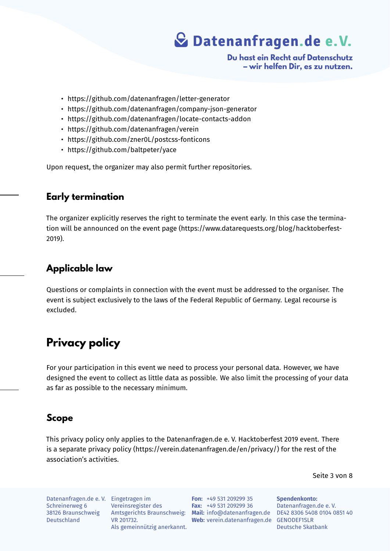**Du hast ein Recht auf Datenschutz – wir helfen Dir, es zu nutzen.**

- https://github.com/datenanfragen/letter-generator
- https://github.com/datenanfragen/company-json-generator
- https://github.com/datenanfragen/locate-contacts-addon
- https://github.com/datenanfragen/verein
- https://github.com/zner0L/postcss-fonticons
- https://github.com/baltpeter/yace

Upon request, the organizer may also permit further repositories.

#### **Early termination**

The organizer explicitly reserves the right to terminate the event early. In this case the termination will be announced on the event page (https://www.datarequests.org/blog/hacktoberfest-2019).

### **Applicable law**

Questions or complaints in connection with the event must be addressed to the organiser. The event is subject exclusively to the laws of the Federal Republic of Germany. Legal recourse is excluded.

## **Privacy policy**

For your participation in this event we need to process your personal data. However, we have designed the event to collect as little data as possible. We also limit the processing of your data as far as possible to the necessary minimum.

### **Scope**

This privacy policy only applies to the Datenanfragen.de e. V. Hacktoberfest 2019 event. There is a separate privacy policy (https://verein.datenanfragen.de/en/privacy/) for the rest of the association's activities.

Seite 3 von 8

Datenanfragen.de e. V. Eingetragen im Schreinerweg 6 38126 Braunschweig Deutschland

Vereinsregister des VR 201732. Als gemeinnützig anerkannt.

Amtsgerichts Braunschweig: **Mail:** info@datenanfragen.de DE42 8306 5408 0104 0851 40 Web: verein.datenanfragen.de GENODEF1SLR **Fon:** +49 531 209299 35 **Fax:** +49 531 209299 36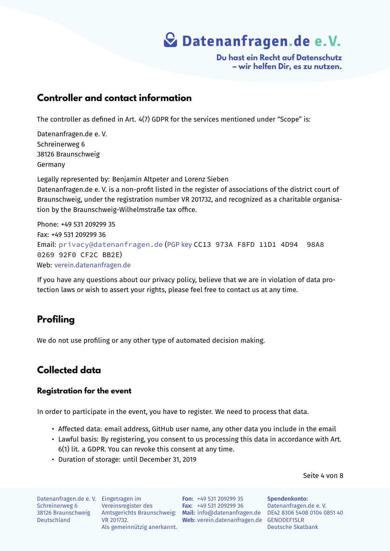**Du hast ein Recht auf Datenschutz – wir helfen Dir, es zu nutzen.**

### **Controller and contact information**

The controller as defined in Art. 4(7) GDPR for the services mentioned under "Scope" is:

Datenanfragen.de e. V. Schreinerweg 6 38126 Braunschweig Germany

Legally represented by: Benjamin Altpeter and Lorenz Sieben

Datenanfragen.de e. V. is a non-profit listed in the register of associations of the district court of Braunschweig, under the registration number VR 201732, and recognized as a charitable organisation by the Braunschweig-Wilhelmstraße tax office.

Phone: +49 531 209299 35 Fax: +49 531 209299 36 Email: privacy@datenanfragen.de (PGP key CC13 973A F8FD 11D1 4D94 98A8 0269 92F0 CF2C BB2E) Web: verein.datenanfragen.de

If you [have any questions about our priv](mailto:privacy@datenanfragen.de)[acy polic](https://www.datenanfragen.de/pgp/CF2CBB2E.asc)y, believe that we are in violation of data protecti[on laws or wish to assert y](https://verein.datenanfragen.de)our rights, please feel free to contact us at any time.

### **Profiling**

We do not use profiling or any other type of automated decision making.

### **Collected data**

#### **Registration for the event**

In order to participate in the event, you have to register. We need to process that data.

- Affected data: email address, GitHub user name, any other data you include in the email
- Lawful basis: By registering, you consent to us processing this data in accordance with Art. 6(1) lit. a GDPR. You can revoke this consent at any time.
- Duration of storage: until December 31, 2019

Seite 4 von 8

Datenanfragen.de e. V. Eingetragen im Schreinerweg 6 38126 Braunschweig Deutschland

Vereinsregister des VR 201732. Als gemeinnützig anerkannt.

Amtsgerichts Braunschweig: **Mail:** info@datenanfragen.de DE42 8306 5408 0104 0851 40 **Web:** verein.datenanfragen.de GENODEF1SLR **Fon:** +49 531 209299 35 **Fax:** +49 531 209299 36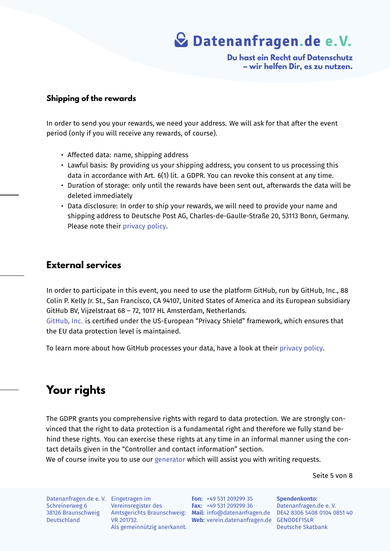**Du hast ein Recht auf Datenschutz – wir helfen Dir, es zu nutzen.**

#### **Shipping of the rewards**

In order to send you your rewards, we need your address. We will ask for that after the event period (only if you will receive any rewards, of course).

- Affected data: name, shipping address
- Lawful basis: By providing us your shipping address, you consent to us processing this data in accordance with Art. 6(1) lit. a GDPR. You can revoke this consent at any time.
- Duration of storage: only until the rewards have been sent out, afterwards the data will be deleted immediately
- Data disclosure: In order to ship your rewards, we will need to provide your name and shipping address to Deutsche Post AG, Charles-de-Gaulle-Straße 20, 53113 Bonn, Germany. Please note their privacy policy.

### **External services**

In order to participate in this event, you need to use the platform GitHub, run by GitHub, Inc., 88 Colin P. Kelly Jr. St., San Francisco, CA 94107, United States of America and its European subsidiary GitHub BV, Vijzelstraat 68 – 72, 1017 HL Amsterdam, Netherlands.

GitHub, Inc. is certified under the US-European "Privacy Shield" framework, which ensures that the EU data protection level is maintained.

[To learn mo](https://www.privacyshield.gov/participant?id=a2zt000000001K2AAI)re about how GitHub processes your data, have a look at their privacy policy.

## **Your rights**

The GDPR grants you comprehensive rights with regard to data protection. We are strongly convinced that the right to data protection is a fundamental right and therefore we fully stand behind these rights. You can exercise these rights at any time in an informal manner using the contact details given in the "Controller and contact information" section.

We of course invite you to use our generator which will assist you with writing requests.

Seite 5 von 8

Datenanfragen.de e. V. Eingetragen im Schreinerweg 6 38126 Braunschweig Deutschland

Vereinsregister des VR 201732. Als gemeinnützig anerkannt.

Amtsgerichts Braunschweig: **Mail:** info@datenanfragen.de DE42 8306 5408 0104 0851 40 **Web:** verein.datenanfragen.de GENODEF1SLR **Fon:** +49 531 209299 35 **Fax:** +49 531 209299 36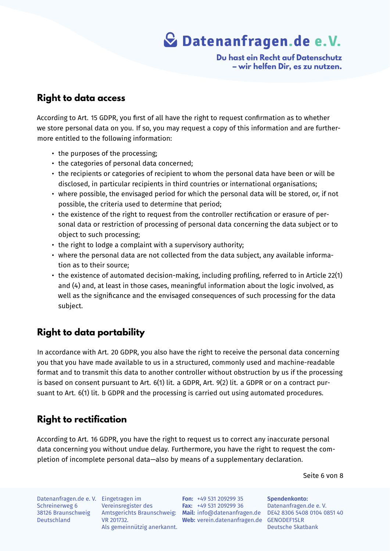**Du hast ein Recht auf Datenschutz – wir helfen Dir, es zu nutzen.**

### **Right to data access**

According to Art. 15 GDPR, you first of all have the right to request confirmation as to whether we store personal data on you. If so, you may request a copy of this information and are furthermore entitled to the following information:

- the purposes of the processing;
- the categories of personal data concerned;
- the recipients or categories of recipient to whom the personal data have been or will be disclosed, in particular recipients in third countries or international organisations;
- where possible, the envisaged period for which the personal data will be stored, or, if not possible, the criteria used to determine that period;
- the existence of the right to request from the controller rectification or erasure of personal data or restriction of processing of personal data concerning the data subject or to object to such processing;
- the right to lodge a complaint with a supervisory authority;
- where the personal data are not collected from the data subject, any available information as to their source;
- the existence of automated decision-making, including profiling, referred to in Article 22(1) and (4) and, at least in those cases, meaningful information about the logic involved, as well as the significance and the envisaged consequences of such processing for the data subject.

### **Right to data portability**

In accordance with Art. 20 GDPR, you also have the right to receive the personal data concerning you that you have made available to us in a structured, commonly used and machine-readable format and to transmit this data to another controller without obstruction by us if the processing is based on consent pursuant to Art. 6(1) lit. a GDPR, Art. 9(2) lit. a GDPR or on a contract pursuant to Art. 6(1) lit. b GDPR and the processing is carried out using automated procedures.

### **Right to rectification**

According to Art. 16 GDPR, you have the right to request us to correct any inaccurate personal data concerning you without undue delay. Furthermore, you have the right to request the completion of incomplete personal data—also by means of a supplementary declaration.

Seite 6 von 8

Datenanfragen.de e. V. Eingetragen im Schreinerweg 6 38126 Braunschweig Deutschland

Vereinsregister des VR 201732. Als gemeinnützig anerkannt.

Amtsgerichts Braunschweig: **Mail:** info@datenanfragen.de DE42 8306 5408 0104 0851 40 **Web:** verein.datenanfragen.de GENODEF1SLR **Fon:** +49 531 209299 35 **Fax:** +49 531 209299 36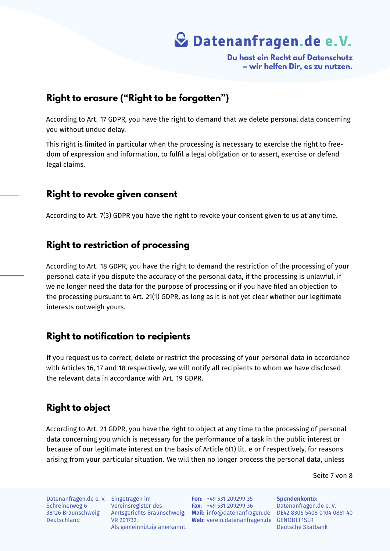**Du hast ein Recht auf Datenschutz – wir helfen Dir, es zu nutzen.**

### **Right to erasure ("Right to be forgotten")**

According to Art. 17 GDPR, you have the right to demand that we delete personal data concerning you without undue delay.

This right is limited in particular when the processing is necessary to exercise the right to freedom of expression and information, to fulfil a legal obligation or to assert, exercise or defend legal claims.

### **Right to revoke given consent**

According to Art. 7(3) GDPR you have the right to revoke your consent given to us at any time.

### **Right to restriction of processing**

According to Art. 18 GDPR, you have the right to demand the restriction of the processing of your personal data if you dispute the accuracy of the personal data, if the processing is unlawful, if we no longer need the data for the purpose of processing or if you have filed an objection to the processing pursuant to Art. 21(1) GDPR, as long as it is not yet clear whether our legitimate interests outweigh yours.

### **Right to notification to recipients**

If you request us to correct, delete or restrict the processing of your personal data in accordance with Articles 16, 17 and 18 respectively, we will notify all recipients to whom we have disclosed the relevant data in accordance with Art. 19 GDPR.

### **Right to object**

According to Art. 21 GDPR, you have the right to object at any time to the processing of personal data concerning you which is necessary for the performance of a task in the public interest or because of our legitimate interest on the basis of Article 6(1) lit. e or f respectively, for reasons arising from your particular situation. We will then no longer process the personal data, unless

Seite 7 von 8

Datenanfragen.de e. V. Eingetragen im Schreinerweg 6 38126 Braunschweig Deutschland

Vereinsregister des VR 201732. Als gemeinnützig anerkannt.

Amtsgerichts Braunschweig: **Mail:** info@datenanfragen.de DE42 8306 5408 0104 0851 40 Web: verein.datenanfragen.de GENODEF1SLR **Fon:** +49 531 209299 35 **Fax:** +49 531 209299 36